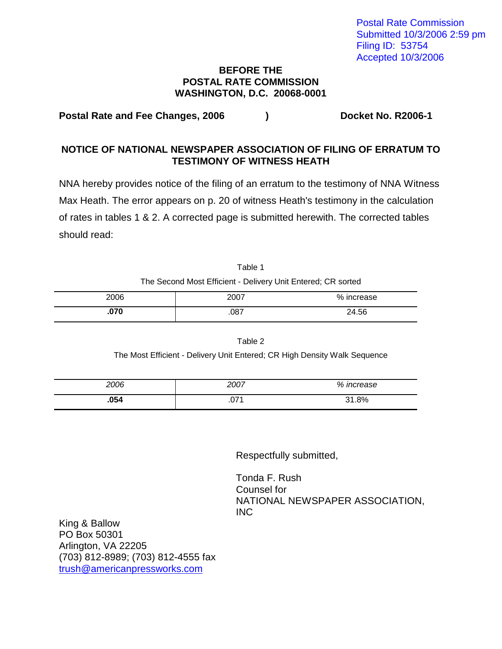Postal Rate Commission Submitted 10/3/2006 2:59 pm Filing ID: 53754 Accepted 10/3/2006

## **BEFORE THE POSTAL RATE COMMISSION WASHINGTON, D.C. 20068-0001**

**Postal Rate and Fee Changes, 2006 ) Docket No. R2006-1** 

## **NOTICE OF NATIONAL NEWSPAPER ASSOCIATION OF FILING OF ERRATUM TO TESTIMONY OF WITNESS HEATH**

NNA hereby provides notice of the filing of an erratum to the testimony of NNA Witness Max Heath. The error appears on p. 20 of witness Heath's testimony in the calculation of rates in tables 1 & 2. A corrected page is submitted herewith. The corrected tables should read:

| Table 1                                                      |
|--------------------------------------------------------------|
| The Second Most Efficient - Delivery Unit Entered; CR sorted |

| 2006 | 2007 | % increase |
|------|------|------------|
| .070 | .087 | 24.56      |

Table 2 The Most Efficient - Delivery Unit Entered; CR High Density Walk Sequence

| 2006 | 2007 | % increase |
|------|------|------------|
| .054 | .071 | 31.8%      |

Respectfully submitted,

Tonda F. Rush Counsel for NATIONAL NEWSPAPER ASSOCIATION, INC

King & Ballow PO Box 50301 Arlington, VA 22205 (703) 812-8989; (703) 812-4555 fax trush@americanpressworks.com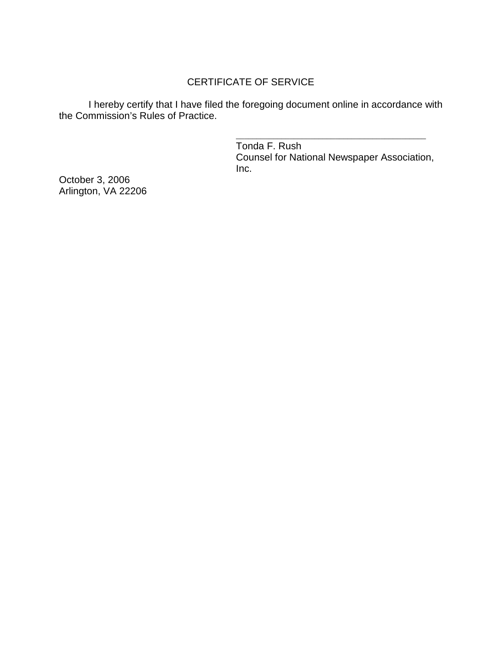## CERTIFICATE OF SERVICE

I hereby certify that I have filed the foregoing document online in accordance with the Commission's Rules of Practice.

> \_\_\_\_\_\_\_\_\_\_\_\_\_\_\_\_\_\_\_\_\_\_\_\_\_\_\_\_\_\_\_\_\_\_\_\_\_\_\_\_\_\_\_\_\_\_ Tonda F. Rush Counsel for National Newspaper Association, Inc.

October 3, 2006 Arlington, VA 22206